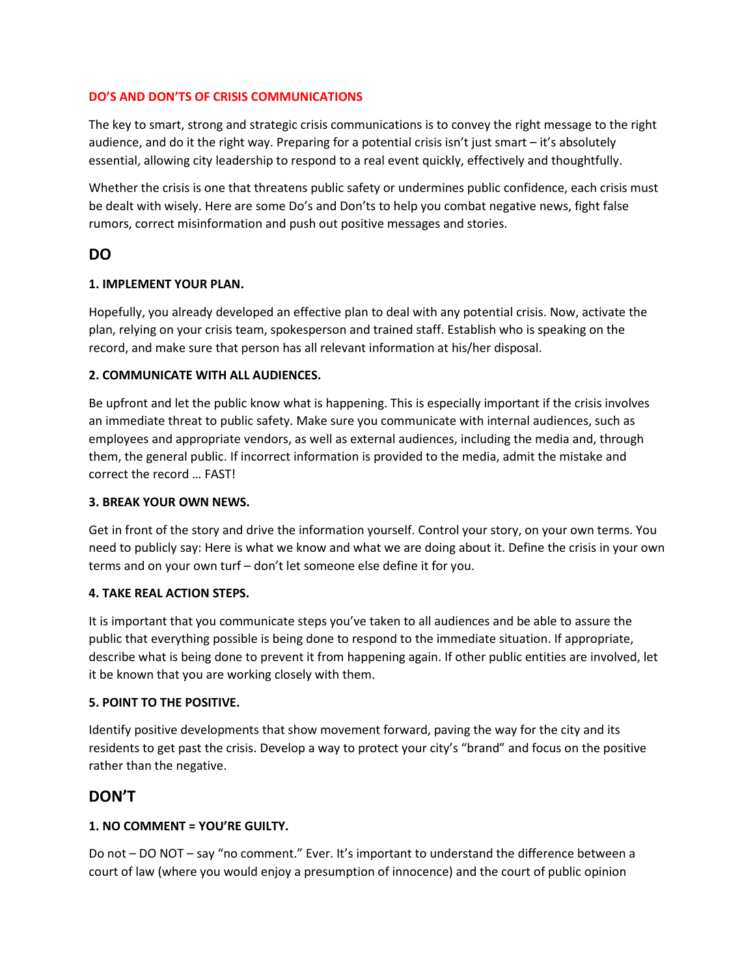### **DO'S AND DON'TS OF CRISIS COMMUNICATIONS**

The key to smart, strong and strategic crisis communications is to convey the right message to the right audience, and do it the right way. Preparing for a potential crisis isn't just smart – it's absolutely essential, allowing city leadership to respond to a real event quickly, effectively and thoughtfully.

Whether the crisis is one that threatens public safety or undermines public confidence, each crisis must be dealt with wisely. Here are some Do's and Don'ts to help you combat negative news, fight false rumors, correct misinformation and push out positive messages and stories.

## **DO**

### **1. IMPLEMENT YOUR PLAN.**

Hopefully, you already developed an effective plan to deal with any potential crisis. Now, activate the plan, relying on your crisis team, spokesperson and trained staff. Establish who is speaking on the record, and make sure that person has all relevant information at his/her disposal.

### **2. COMMUNICATE WITH ALL AUDIENCES.**

Be upfront and let the public know what is happening. This is especially important if the crisis involves an immediate threat to public safety. Make sure you communicate with internal audiences, such as employees and appropriate vendors, as well as external audiences, including the media and, through them, the general public. If incorrect information is provided to the media, admit the mistake and correct the record … FAST!

### **3. BREAK YOUR OWN NEWS.**

Get in front of the story and drive the information yourself. Control your story, on your own terms. You need to publicly say: Here is what we know and what we are doing about it. Define the crisis in your own terms and on your own turf – don't let someone else define it for you.

### **4. TAKE REAL ACTION STEPS.**

It is important that you communicate steps you've taken to all audiences and be able to assure the public that everything possible is being done to respond to the immediate situation. If appropriate, describe what is being done to prevent it from happening again. If other public entities are involved, let it be known that you are working closely with them.

### **5. POINT TO THE POSITIVE.**

Identify positive developments that show movement forward, paving the way for the city and its residents to get past the crisis. Develop a way to protect your city's "brand" and focus on the positive rather than the negative.

## **DON'T**

### **1. NO COMMENT = YOU'RE GUILTY.**

Do not – DO NOT – say "no comment." Ever. It's important to understand the difference between a court of law (where you would enjoy a presumption of innocence) and the court of public opinion